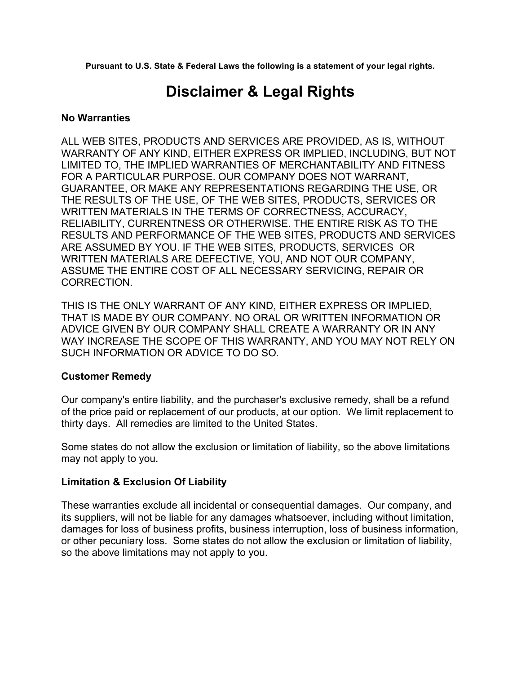**Pursuant to U.S. State & Federal Laws the following is a statement of your legal rights.**

# **Disclaimer & Legal Rights**

## **No Warranties**

ALL WEB SITES, PRODUCTS AND SERVICES ARE PROVIDED, AS IS, WITHOUT WARRANTY OF ANY KIND, EITHER EXPRESS OR IMPLIED, INCLUDING, BUT NOT LIMITED TO, THE IMPLIED WARRANTIES OF MERCHANTABILITY AND FITNESS FOR A PARTICULAR PURPOSE. OUR COMPANY DOES NOT WARRANT, GUARANTEE, OR MAKE ANY REPRESENTATIONS REGARDING THE USE, OR THE RESULTS OF THE USE, OF THE WEB SITES, PRODUCTS, SERVICES OR WRITTEN MATERIALS IN THE TERMS OF CORRECTNESS, ACCURACY, RELIABILITY, CURRENTNESS OR OTHERWISE. THE ENTIRE RISK AS TO THE RESULTS AND PERFORMANCE OF THE WEB SITES, PRODUCTS AND SERVICES ARE ASSUMED BY YOU. IF THE WEB SITES, PRODUCTS, SERVICES OR WRITTEN MATERIALS ARE DEFECTIVE, YOU, AND NOT OUR COMPANY, ASSUME THE ENTIRE COST OF ALL NECESSARY SERVICING, REPAIR OR CORRECTION.

THIS IS THE ONLY WARRANT OF ANY KIND, EITHER EXPRESS OR IMPLIED, THAT IS MADE BY OUR COMPANY. NO ORAL OR WRITTEN INFORMATION OR ADVICE GIVEN BY OUR COMPANY SHALL CREATE A WARRANTY OR IN ANY WAY INCREASE THE SCOPE OF THIS WARRANTY, AND YOU MAY NOT RELY ON SUCH INFORMATION OR ADVICE TO DO SO.

# **Customer Remedy**

Our company's entire liability, and the purchaser's exclusive remedy, shall be a refund of the price paid or replacement of our products, at our option. We limit replacement to thirty days. All remedies are limited to the United States.

Some states do not allow the exclusion or limitation of liability, so the above limitations may not apply to you.

# **Limitation & Exclusion Of Liability**

These warranties exclude all incidental or consequential damages. Our company, and its suppliers, will not be liable for any damages whatsoever, including without limitation, damages for loss of business profits, business interruption, loss of business information, or other pecuniary loss. Some states do not allow the exclusion or limitation of liability, so the above limitations may not apply to you.